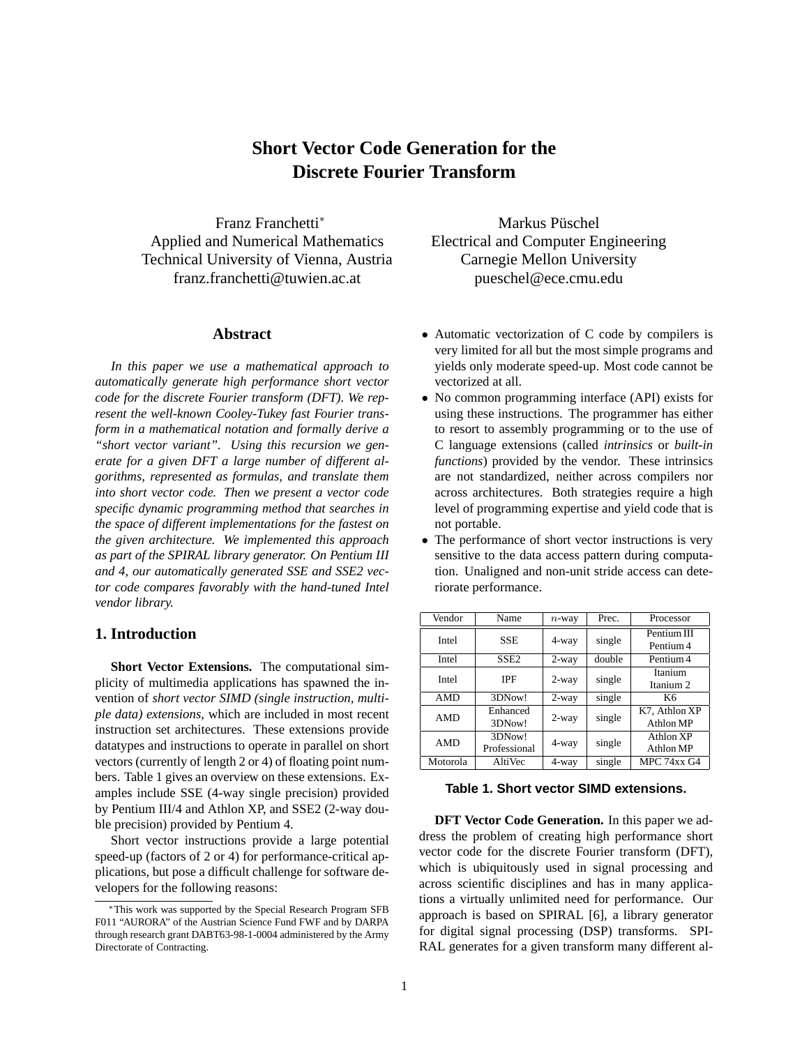# **Short Vector Code Generation for the Discrete Fourier Transform**

Franz Franchetti<sup>∗</sup> Applied and Numerical Mathematics Technical University of Vienna, Austria franz.franchetti@tuwien.ac.at

## **Abstract**

*In this paper we use a mathematical approach to automatically generate high performance short vector code for the discrete Fourier transform (DFT). We represent the well-known Cooley-Tukey fast Fourier transform in a mathematical notation and formally derive a "short vector variant". Using this recursion we generate for a given DFT a large number of different algorithms, represented as formulas, and translate them into short vector code. Then we present a vector code specific dynamic programming method that searches in the space of different implementations for the fastest on the given architecture. We implemented this approach as part of the SPIRAL library generator. On Pentium III and 4, our automatically generated SSE and SSE2 vector code compares favorably with the hand-tuned Intel vendor library.*

# **1. Introduction**

**Short Vector Extensions.** The computational simplicity of multimedia applications has spawned the invention of *short vector SIMD (single instruction, multiple data) extensions*, which are included in most recent instruction set architectures. These extensions provide datatypes and instructions to operate in parallel on short vectors (currently of length 2 or 4) of floating point numbers. Table 1 gives an overview on these extensions. Examples include SSE (4-way single precision) provided by Pentium III/4 and Athlon XP, and SSE2 (2-way double precision) provided by Pentium 4.

Short vector instructions provide a large potential speed-up (factors of 2 or 4) for performance-critical applications, but pose a difficult challenge for software developers for the following reasons:

Markus Püschel Electrical and Computer Engineering Carnegie Mellon University pueschel@ece.cmu.edu

- Automatic vectorization of C code by compilers is very limited for all but the most simple programs and yields only moderate speed-up. Most code cannot be vectorized at all.
- No common programming interface (API) exists for using these instructions. The programmer has either to resort to assembly programming or to the use of C language extensions (called *intrinsics* or *built-in functions*) provided by the vendor. These intrinsics are not standardized, neither across compilers nor across architectures. Both strategies require a high level of programming expertise and yield code that is not portable.
- The performance of short vector instructions is very sensitive to the data access pattern during computation. Unaligned and non-unit stride access can deteriorate performance.

| Vendor     | Name                   | $n$ -way | Prec.  | Processor                  |
|------------|------------------------|----------|--------|----------------------------|
| Intel      | <b>SSE</b>             | 4-way    | single | Pentium III<br>Pentium 4   |
| Intel      | SSE <sub>2</sub>       | $2$ -way | double | Pentium 4                  |
| Intel      | <b>IPF</b>             | $2$ -way | single | Itanium<br>Itanium 2       |
| <b>AMD</b> | 3DNow!                 | $2$ -way | single | K6                         |
| <b>AMD</b> | Enhanced<br>3DNow!     | $2$ -way | single | K7. Athlon XP<br>Athlon MP |
| <b>AMD</b> | 3DNow!<br>Professional | 4-way    | single | Athlon XP<br>Athlon MP     |
| Motorola   | <b>AltiVec</b>         | 4-way    | single | MPC 74xx G4                |

# **Table 1. Short vector SIMD extensions.**

**DFT Vector Code Generation.** In this paper we address the problem of creating high performance short vector code for the discrete Fourier transform (DFT), which is ubiquitously used in signal processing and across scientific disciplines and has in many applications a virtually unlimited need for performance. Our approach is based on SPIRAL [6], a library generator for digital signal processing (DSP) transforms. SPI-RAL generates for a given transform many different al-

<sup>∗</sup>This work was supported by the Special Research Program SFB F011 "AURORA" of the Austrian Science Fund FWF and by DARPA through research grant DABT63-98-1-0004 administered by the Army Directorate of Contracting.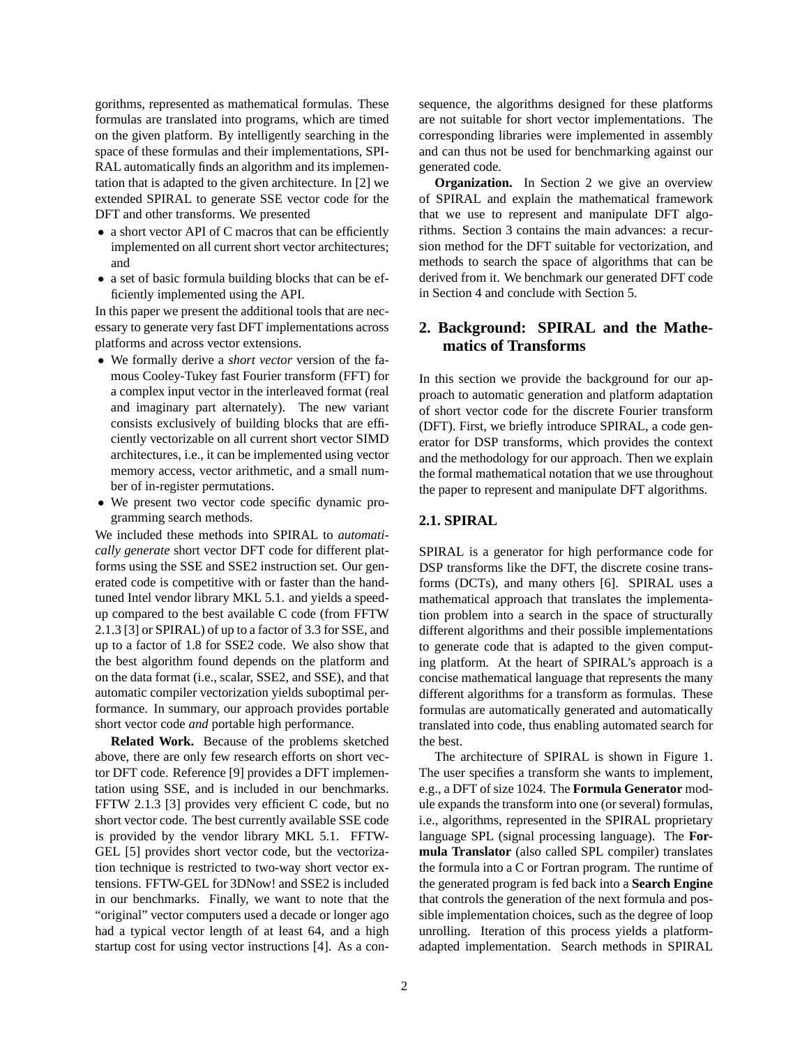gorithms, represented as mathematical formulas. These formulas are translated into programs, which are timed on the given platform. By intelligently searching in the space of these formulas and their implementations, SPI-RAL automatically finds an algorithm and its implementation that is adapted to the given architecture. In [2] we extended SPIRAL to generate SSE vector code for the DFT and other transforms. We presented

- a short vector API of C macros that can be efficiently implemented on all current short vector architectures; and
- a set of basic formula building blocks that can be efficiently implemented using the API.

In this paper we present the additional tools that are necessary to generate very fast DFT implementations across platforms and across vector extensions.

- We formally derive a *short vector* version of the famous Cooley-Tukey fast Fourier transform (FFT) for a complex input vector in the interleaved format (real and imaginary part alternately). The new variant consists exclusively of building blocks that are efficiently vectorizable on all current short vector SIMD architectures, i.e., it can be implemented using vector memory access, vector arithmetic, and a small number of in-register permutations.
- We present two vector code specific dynamic programming search methods.

We included these methods into SPIRAL to *automatically generate* short vector DFT code for different platforms using the SSE and SSE2 instruction set. Our generated code is competitive with or faster than the handtuned Intel vendor library MKL 5.1. and yields a speedup compared to the best available C code (from FFTW 2.1.3 [3] or SPIRAL) of up to a factor of 3.3 for SSE, and up to a factor of 1.8 for SSE2 code. We also show that the best algorithm found depends on the platform and on the data format (i.e., scalar, SSE2, and SSE), and that automatic compiler vectorization yields suboptimal performance. In summary, our approach provides portable short vector code *and* portable high performance.

**Related Work.** Because of the problems sketched above, there are only few research efforts on short vector DFT code. Reference [9] provides a DFT implementation using SSE, and is included in our benchmarks. FFTW 2.1.3 [3] provides very efficient C code, but no short vector code. The best currently available SSE code is provided by the vendor library MKL 5.1. FFTW-GEL [5] provides short vector code, but the vectorization technique is restricted to two-way short vector extensions. FFTW-GEL for 3DNow! and SSE2 is included in our benchmarks. Finally, we want to note that the "original" vector computers used a decade or longer ago had a typical vector length of at least 64, and a high startup cost for using vector instructions [4]. As a con-

sequence, the algorithms designed for these platforms are not suitable for short vector implementations. The corresponding libraries were implemented in assembly and can thus not be used for benchmarking against our generated code.

**Organization.** In Section 2 we give an overview of SPIRAL and explain the mathematical framework that we use to represent and manipulate DFT algorithms. Section 3 contains the main advances: a recursion method for the DFT suitable for vectorization, and methods to search the space of algorithms that can be derived from it. We benchmark our generated DFT code in Section 4 and conclude with Section 5.

# **2. Background: SPIRAL and the Mathematics of Transforms**

In this section we provide the background for our approach to automatic generation and platform adaptation of short vector code for the discrete Fourier transform (DFT). First, we briefly introduce SPIRAL, a code generator for DSP transforms, which provides the context and the methodology for our approach. Then we explain the formal mathematical notation that we use throughout the paper to represent and manipulate DFT algorithms.

# **2.1. SPIRAL**

SPIRAL is a generator for high performance code for DSP transforms like the DFT, the discrete cosine transforms (DCTs), and many others [6]. SPIRAL uses a mathematical approach that translates the implementation problem into a search in the space of structurally different algorithms and their possible implementations to generate code that is adapted to the given computing platform. At the heart of SPIRAL's approach is a concise mathematical language that represents the many different algorithms for a transform as formulas. These formulas are automatically generated and automatically translated into code, thus enabling automated search for the best.

The architecture of SPIRAL is shown in Figure 1. The user specifies a transform she wants to implement, e.g., a DFT of size 1024. The **Formula Generator** module expands the transform into one (or several) formulas, i.e., algorithms, represented in the SPIRAL proprietary language SPL (signal processing language). The **Formula Translator** (also called SPL compiler) translates the formula into a C or Fortran program. The runtime of the generated program is fed back into a **Search Engine** that controls the generation of the next formula and possible implementation choices, such as the degree of loop unrolling. Iteration of this process yields a platformadapted implementation. Search methods in SPIRAL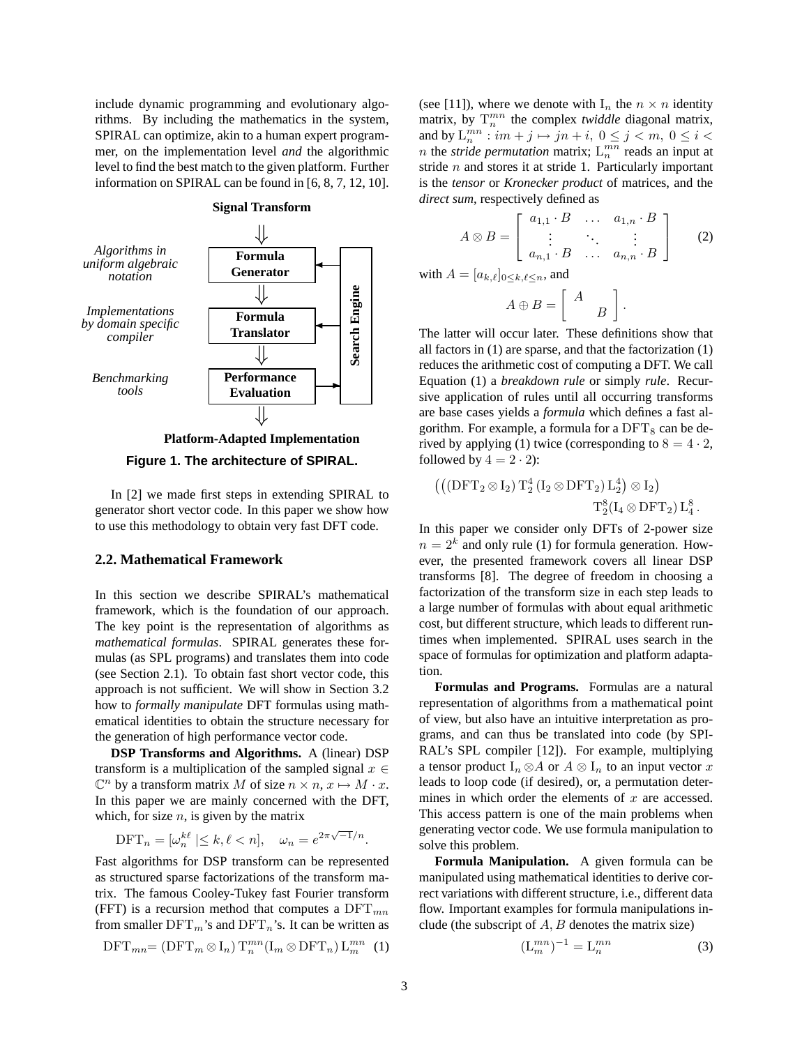include dynamic programming and evolutionary algorithms. By including the mathematics in the system, SPIRAL can optimize, akin to a human expert programmer, on the implementation level *and* the algorithmic level to find the best match to the given platform. Further information on SPIRAL can be found in [6, 8, 7, 12, 10].



**Figure 1. The architecture of SPIRAL.**

In [2] we made first steps in extending SPIRAL to generator short vector code. In this paper we show how to use this methodology to obtain very fast DFT code.

# **2.2. Mathematical Framework**

In this section we describe SPIRAL's mathematical framework, which is the foundation of our approach. The key point is the representation of algorithms as *mathematical formulas*. SPIRAL generates these formulas (as SPL programs) and translates them into code (see Section 2.1). To obtain fast short vector code, this approach is not sufficient. We will show in Section 3.2 how to *formally manipulate* DFT formulas using mathematical identities to obtain the structure necessary for the generation of high performance vector code.

**DSP Transforms and Algorithms.** A (linear) DSP transform is a multiplication of the sampled signal  $x \in$  $\mathbb{C}^n$  by a transform matrix M of size  $n \times n$ ,  $x \mapsto M \cdot x$ . In this paper we are mainly concerned with the DFT, which, for size  $n$ , is given by the matrix

$$
\text{DFT}_n = [\omega_n^{k\ell} \mid \leq k, \ell < n], \quad \omega_n = e^{2\pi\sqrt{-1}/n}.
$$

Fast algorithms for DSP transform can be represented as structured sparse factorizations of the transform matrix. The famous Cooley-Tukey fast Fourier transform (FFT) is a recursion method that computes a  $\text{DFT}_{mn}$ from smaller  $DFT_m$ 's and  $DFT_n$ 's. It can be written as

$$
\text{DFT}_{mn} = (\text{DFT}_m \otimes I_n) T_n^{mn} (I_m \otimes \text{DFT}_n) L_m^{mn} \tag{1}
$$

(see [11]), where we denote with  $I_n$  the  $n \times n$  identity matrix, by  $T_n^{mn}$  the complex *twiddle* diagonal matrix, and by  $L_n^{mn}$ :  $im + j \mapsto jn + i$ ,  $0 \le j < m$ ,  $0 \le i <$ *n* the *stride permutation* matrix;  $L_n^{mn}$  reads an input at stride  $n$  and stores it at stride 1. Particularly important is the *tensor* or *Kronecker product* of matrices, and the *direct sum*, respectively defined as

$$
A \otimes B = \left[ \begin{array}{ccc} a_{1,1} \cdot B & \dots & a_{1,n} \cdot B \\ \vdots & \ddots & \vdots \\ a_{n,1} \cdot B & \dots & a_{n,n} \cdot B \end{array} \right] \qquad (2)
$$

with  $A = [a_{k,\ell}]_{0 \leq k,\ell \leq n}$ , and

$$
A \oplus B = \left[ \begin{array}{cc} A & \\ & B \end{array} \right].
$$

The latter will occur later. These definitions show that all factors in (1) are sparse, and that the factorization (1) reduces the arithmetic cost of computing a DFT. We call Equation (1) a *breakdown rule* or simply *rule*. Recursive application of rules until all occurring transforms are base cases yields a *formula* which defines a fast algorithm. For example, a formula for a  $DFT_8$  can be derived by applying (1) twice (corresponding to  $8 = 4 \cdot 2$ , followed by  $4 = 2 \cdot 2$ :

$$
\begin{aligned}\left(\left(\left(\mathrm{DFT}_2\otimes I_2\right) \mathrm{T}_2^4\left(I_2\otimes\mathrm{DFT}_2\right)\mathrm{L}_2^4\right)\otimes I_2\right)\\&\mathrm{T}_2^8\!\left(I_4\otimes\mathrm{DFT}_2\right)\mathrm{L}_4^8\,.\end{aligned}
$$

In this paper we consider only DFTs of 2-power size  $n = 2<sup>k</sup>$  and only rule (1) for formula generation. However, the presented framework covers all linear DSP transforms [8]. The degree of freedom in choosing a factorization of the transform size in each step leads to a large number of formulas with about equal arithmetic cost, but different structure, which leads to different runtimes when implemented. SPIRAL uses search in the space of formulas for optimization and platform adaptation.

**Formulas and Programs.** Formulas are a natural representation of algorithms from a mathematical point of view, but also have an intuitive interpretation as programs, and can thus be translated into code (by SPI-RAL's SPL compiler [12]). For example, multiplying a tensor product  $I_n \otimes A$  or  $A \otimes I_n$  to an input vector x leads to loop code (if desired), or, a permutation determines in which order the elements of  $x$  are accessed. This access pattern is one of the main problems when generating vector code. We use formula manipulation to solve this problem.

**Formula Manipulation.** A given formula can be manipulated using mathematical identities to derive correct variations with different structure, i.e., different data flow. Important examples for formula manipulations include (the subscript of  $A, B$  denotes the matrix size)

$$
\left(\mathcal{L}_m^{mn}\right)^{-1} = \mathcal{L}_n^{mn} \tag{3}
$$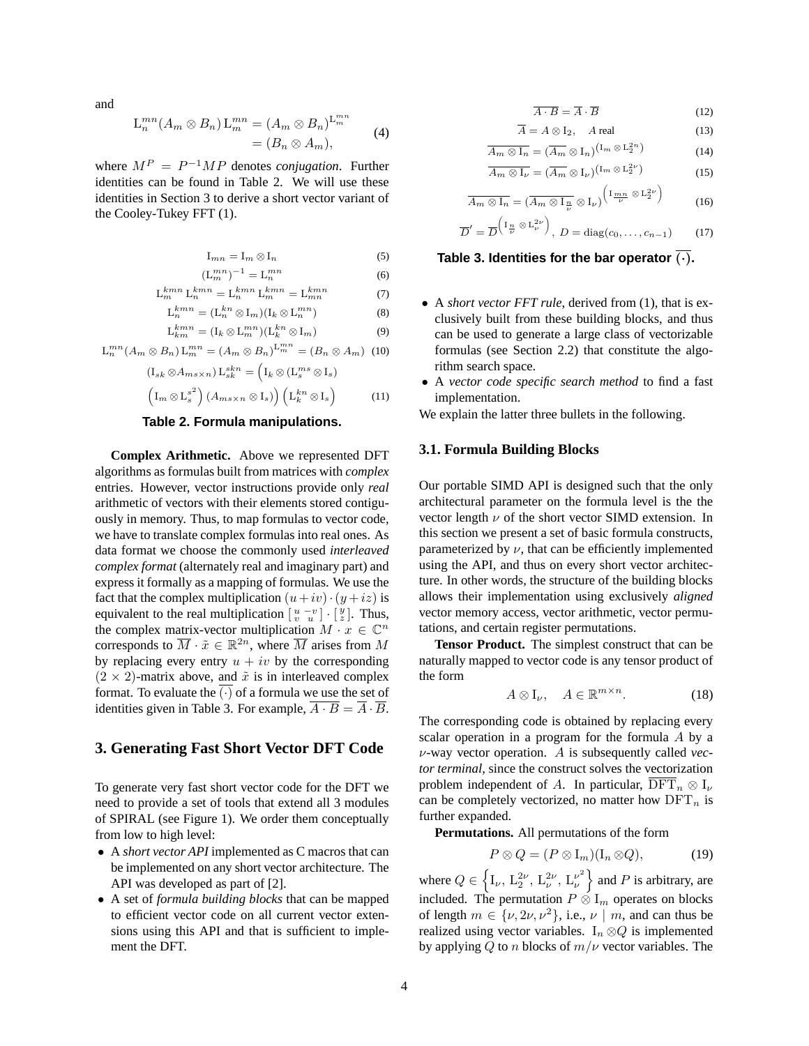and

$$
L_n^{mn}(A_m \otimes B_n) L_m^{mn} = (A_m \otimes B_n)^{L_m^{mn}} = (B_n \otimes A_m),
$$
 (4)

where  $M^P = P^{-1}MP$  denotes *conjugation*. Further identities can be found in Table 2. We will use these identities in Section 3 to derive a short vector variant of the Cooley-Tukey FFT (1).

$$
\mathcal{I}_{mn} = \mathcal{I}_m \otimes \mathcal{I}_n \tag{5}
$$

$$
\left(\mathcal{L}_m^{mn}\right)^{-1} = \mathcal{L}_n^{mn} \tag{6}
$$

$$
\mathcal{L}_m^{kmn} \mathcal{L}_n^{kmn} = \mathcal{L}_n^{kmn} \mathcal{L}_m^{kmn} = \mathcal{L}_{mn}^{kmn} \tag{7}
$$

$$
\mathcal{L}_n^{kmn} = (\mathcal{L}_n^{kn} \otimes \mathcal{I}_m)(\mathcal{I}_k \otimes \mathcal{L}_n^{mn}) \tag{8}
$$

$$
\mathcal{L}_{km}^{kmn} = (\mathcal{I}_k \otimes \mathcal{L}_m^{mn})(\mathcal{L}_k^{kn} \otimes \mathcal{I}_m) \tag{9}
$$

$$
L_n^{mn}(A_m \otimes B_n) L_m^{mn} = (A_m \otimes B_n)^{L_m^{mn}} = (B_n \otimes A_m)
$$
 (10)

 $(I \cdot \otimes A)$ 

$$
\begin{aligned} \left(\mathbf{I}_{sk} \otimes A_{ms \times n}\right) \mathbf{L}_{sk}^{skn} &= \left(\mathbf{I}_{k} \otimes \left(\mathbf{L}_{s}^{ms} \otimes \mathbf{I}_{s}\right) \right. \\ \left(\mathbf{I}_{m} \otimes \mathbf{L}_{s}^{s^{2}}\right) \left(A_{ms \times n} \otimes \mathbf{I}_{s}\right) \right) \left(\mathbf{L}_{k}^{kn} \otimes \mathbf{I}_{s}\right) \end{aligned} \tag{11}
$$

## **Table 2. Formula manipulations.**

**Complex Arithmetic.** Above we represented DFT algorithms as formulas built from matrices with *complex* entries. However, vector instructions provide only *real* arithmetic of vectors with their elements stored contiguously in memory. Thus, to map formulas to vector code, we have to translate complex formulas into real ones. As data format we choose the commonly used *interleaved complex format* (alternately real and imaginary part) and express it formally as a mapping of formulas. We use the fact that the complex multiplication  $(u+iv) \cdot (y + iz)$  is equivalent to the real multiplication  $\begin{bmatrix} u - v \\ v - u \end{bmatrix} \cdot \begin{bmatrix} y \\ z \end{bmatrix}$ . Thus, the complex matrix-vector multiplication  $M \cdot x \in \mathbb{C}^n$ corresponds to  $\overline{M} \cdot \tilde{x} \in \mathbb{R}^{2n}$ , where  $\overline{M}$  arises from M by replacing every entry  $u + iv$  by the corresponding  $(2 \times 2)$ -matrix above, and  $\tilde{x}$  is in interleaved complex format. To evaluate the  $(\cdot)$  of a formula we use the set of identities given in Table 3. For example,  $\overline{A \cdot B} = \overline{A} \cdot \overline{B}$ .

# **3. Generating Fast Short Vector DFT Code**

To generate very fast short vector code for the DFT we need to provide a set of tools that extend all 3 modules of SPIRAL (see Figure 1). We order them conceptually from low to high level:

- A *short vector API* implemented as C macros that can be implemented on any short vector architecture. The API was developed as part of [2].
- A set of *formula building blocks* that can be mapped to efficient vector code on all current vector extensions using this API and that is sufficient to implement the DFT.

$$
\overline{A \cdot B} = \overline{A} \cdot \overline{B} \tag{12}
$$

$$
\overline{A} = A \otimes I_2, \quad A \text{ real} \tag{13}
$$

$$
\overline{A_m \otimes I_n} = (\overline{A_m} \otimes I_n)^{(\mathbf{I}_m \otimes \mathbf{L}_2^{2n})}
$$
(14)

$$
\overline{A_m \otimes I_\nu} = (\overline{A_m} \otimes I_\nu)^{\left(\operatorname{I}_m \otimes L_2^{2\nu}\right)} \tag{15}
$$

$$
\overline{A_m \otimes I_n} = (\overline{A_m \otimes I_n \otimes I_\nu})^{\left(1 \underline{m} \otimes L_2^{2\nu}\right)} \qquad (16)
$$

$$
\overline{D}' = \overline{D}^{\left(\frac{\Gamma_n}{\nu} \otimes L_{\nu}^{2\nu}\right)}, D = \text{diag}(c_0, \dots, c_{n-1}) \qquad (17)
$$

# **Table 3. Identities for the bar operator**  $\overline{(\cdot)}$ **.**

- A *short vector FFT rule*, derived from (1), that is exclusively built from these building blocks, and thus can be used to generate a large class of vectorizable formulas (see Section 2.2) that constitute the algorithm search space.
- A *vector code specific search method* to find a fast implementation.

We explain the latter three bullets in the following.

#### **3.1. Formula Building Blocks**

Our portable SIMD API is designed such that the only architectural parameter on the formula level is the the vector length  $\nu$  of the short vector SIMD extension. In this section we present a set of basic formula constructs, parameterized by  $\nu$ , that can be efficiently implemented using the API, and thus on every short vector architecture. In other words, the structure of the building blocks allows their implementation using exclusively *aligned* vector memory access, vector arithmetic, vector permutations, and certain register permutations.

**Tensor Product.** The simplest construct that can be naturally mapped to vector code is any tensor product of the form

$$
A \otimes I_{\nu}, \quad A \in \mathbb{R}^{m \times n}.\tag{18}
$$

The corresponding code is obtained by replacing every scalar operation in a program for the formula A by a ν-way vector operation. A is subsequently called *vector terminal*, since the construct solves the vectorization problem independent of A. In particular,  $\overline{\text{DFT}}_n \otimes I_{\nu}$ can be completely vectorized, no matter how  $DFT_n$  is further expanded.

**Permutations.** All permutations of the form

$$
P \otimes Q = (P \otimes I_m)(I_n \otimes Q), \tag{19}
$$

where  $Q \in \left\{ I_{\nu}, L_2^{2\nu}, L_{\nu}^{2\nu}, L_{\nu}^{\nu^2} \right\}$  $\begin{bmatrix} \nu^2 \\ \nu \end{bmatrix}$  and P is arbitrary, are included. The permutation  $P \otimes I_m$  operates on blocks of length  $m \in \{\nu, 2\nu, \nu^2\}$ , i.e.,  $\nu \mid m$ , and can thus be realized using vector variables.  $I_n \otimes Q$  is implemented by applying Q to n blocks of  $m/\nu$  vector variables. The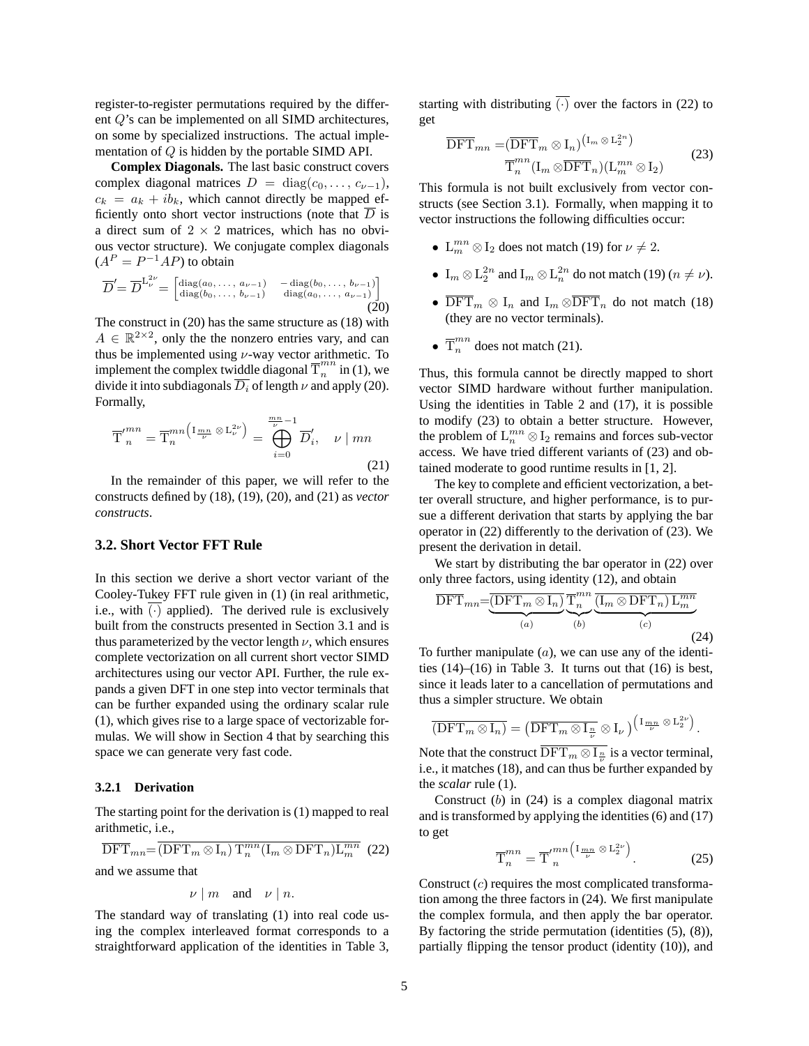register-to-register permutations required by the different Q's can be implemented on all SIMD architectures, on some by specialized instructions. The actual implementation of Q is hidden by the portable SIMD API.

**Complex Diagonals.** The last basic construct covers complex diagonal matrices  $D = \text{diag}(c_0, \ldots, c_{\nu-1}),$  $c_k = a_k + ib_k$ , which cannot directly be mapped efficiently onto short vector instructions (note that  $\overline{D}$  is a direct sum of  $2 \times 2$  matrices, which has no obvious vector structure). We conjugate complex diagonals  $(A^P = P^{-1}AP)$  to obtain

$$
\overline{D}' = \overline{D}^{L_{\nu}^{2\nu}} = \begin{bmatrix} \text{diag}(a_0, \dots, a_{\nu-1}) & -\text{diag}(b_0, \dots, b_{\nu-1})\\ \text{diag}(b_0, \dots, b_{\nu-1}) & \text{diag}(a_0, \dots, a_{\nu-1}) \end{bmatrix}
$$
(20)

The construct in (20) has the same structure as (18) with  $A \in \mathbb{R}^{2 \times 2}$ , only the the nonzero entries vary, and can thus be implemented using  $\nu$ -way vector arithmetic. To implement the complex twiddle diagonal  $\overline{T}_n^{mn}$  $\sum_{n=1}^{n}$  in (1), we divide it into subdiagonals  $\overline{D_i}$  of length  $\nu$  and apply (20). Formally,

$$
\overline{T}'^{mn}_{n} = \overline{T}^{mn}_{n} \left( \mathbb{I}_{\frac{mn}{\nu}} \otimes \mathbb{L}_{\nu}^{2\nu} \right) = \bigoplus_{i=0}^{\frac{mn}{\nu}-1} \overline{D}'_{i}, \quad \nu \mid mn
$$
\n(21)

In the remainder of this paper, we will refer to the constructs defined by (18), (19), (20), and (21) as *vector constructs*.

## **3.2. Short Vector FFT Rule**

In this section we derive a short vector variant of the Cooley-Tukey FFT rule given in (1) (in real arithmetic, i.e., with  $(\cdot)$  applied). The derived rule is exclusively built from the constructs presented in Section 3.1 and is thus parameterized by the vector length  $\nu$ , which ensures complete vectorization on all current short vector SIMD architectures using our vector API. Further, the rule expands a given DFT in one step into vector terminals that can be further expanded using the ordinary scalar rule (1), which gives rise to a large space of vectorizable formulas. We will show in Section 4 that by searching this space we can generate very fast code.

#### **3.2.1 Derivation**

The starting point for the derivation is (1) mapped to real arithmetic, i.e.,

$$
\overline{\text{DFT}}_{mn} = \overline{(\text{DFT}_m \otimes I_n) T_n^{mn} (I_m \otimes \text{DFT}_n) L_m^{mn}}
$$
 (22)  
and we assume that

$$
\nu \mid m
$$
 and  $\nu \mid n$ .

The standard way of translating (1) into real code using the complex interleaved format corresponds to a straightforward application of the identities in Table 3,

starting with distributing  $\overline{(\cdot)}$  over the factors in (22) to get

$$
\overline{\text{DFT}}_{mn} = (\overline{\text{DFT}}_m \otimes I_n)^{\left(\text{I}_m \otimes \text{L}_2^{2n}\right)} \n\overline{\text{T}}_n^{mn} (\text{I}_m \otimes \overline{\text{DFT}}_n) (\text{L}_m^{mn} \otimes I_2)
$$
\n(23)

This formula is not built exclusively from vector constructs (see Section 3.1). Formally, when mapping it to vector instructions the following difficulties occur:

- $\mathcal{L}_m^{mn} \otimes I_2$  does not match (19) for  $\nu \neq 2$ .
- $I_m \otimes L_2^{2n}$  and  $I_m \otimes L_n^{2n}$  do not match (19) ( $n \neq \nu$ ).
- $\overline{\text{DFT}}_m \otimes I_n$  and  $I_m \otimes \overline{\text{DFT}}_n$  do not match (18) (they are no vector terminals).
- $\overline{T}_n^{mn}$  does not match (21).

Thus, this formula cannot be directly mapped to short vector SIMD hardware without further manipulation. Using the identities in Table 2 and (17), it is possible to modify (23) to obtain a better structure. However, the problem of  $L_n^{mn} \otimes I_2$  remains and forces sub-vector access. We have tried different variants of (23) and obtained moderate to good runtime results in [1, 2].

The key to complete and efficient vectorization, a better overall structure, and higher performance, is to pursue a different derivation that starts by applying the bar operator in (22) differently to the derivation of (23). We present the derivation in detail.

We start by distributing the bar operator in  $(22)$  over only three factors, using identity (12), and obtain

$$
\overline{\text{DFT}}_{mn} = \underbrace{\overline{(\text{DFT}_m \otimes I_n)}_{(a)} \underbrace{\overline{\text{T}}_n^{mn}}_{(b)} \underbrace{\overline{(\text{I}_m \otimes \text{DFT}_n) \text{L}_m^{mn}}_{(c)}}_{(24)}
$$

To further manipulate  $(a)$ , we can use any of the identities  $(14)$ – $(16)$  in Table 3. It turns out that  $(16)$  is best, since it leads later to a cancellation of permutations and thus a simpler structure. We obtain

$$
\overline{\text{(DFT}_m \otimes I_n)} = \left(\overline{\text{DFT}_m \otimes I_{\frac{n}{\nu}}} \otimes I_{\nu}\right) \left(\begin{smallmatrix} I_{\frac{mn}{\nu}} \otimes L_2^{2\nu} \end{smallmatrix}\right).
$$

Note that the construct  $\text{DFT}_m \otimes I_{\frac{n}{\nu}}$  is a vector terminal, i.e., it matches (18), and can thus be further expanded by the *scalar* rule (1).

Construct  $(b)$  in  $(24)$  is a complex diagonal matrix and is transformed by applying the identities  $(6)$  and  $(17)$ to get

$$
\overline{\mathrm{T}}_{n}^{mn} = \overline{\mathrm{T}}_{n}^{'mn} \left( \mathbb{I}_{\frac{mn}{\nu}} \otimes \mathbb{L}_{2}^{2\nu} \right). \tag{25}
$$

Construct  $(c)$  requires the most complicated transformation among the three factors in (24). We first manipulate the complex formula, and then apply the bar operator. By factoring the stride permutation (identities (5), (8)), partially flipping the tensor product (identity (10)), and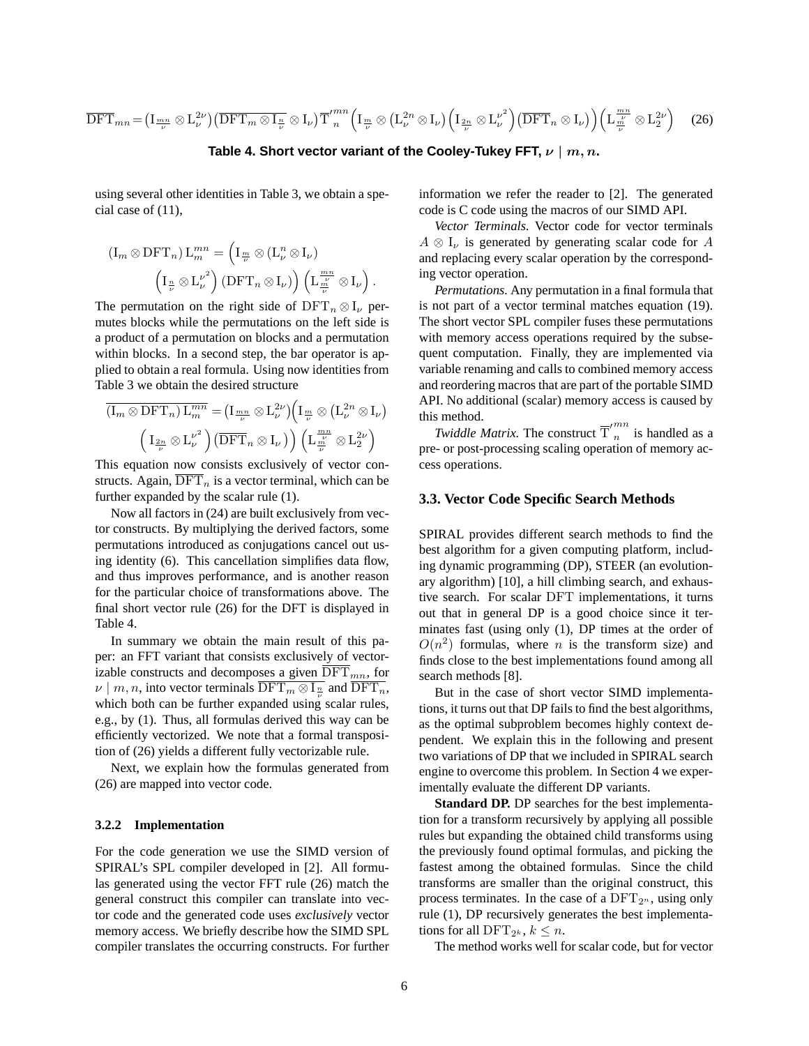$$
\overline{\text{DFT}}_{mn} = \left(\text{I}_{\frac{mn}{\nu}} \otimes \text{L}_{\nu}^{2\nu}\right) \left(\overline{\text{DFT}}_{m} \otimes \text{I}_{\frac{n}{\nu}} \otimes \text{I}_{\nu}\right) \overline{\text{T}}_{n}^{\prime mn} \left(\text{I}_{\frac{m}{\nu}} \otimes \left(\text{L}_{\nu}^{2n} \otimes \text{I}_{\nu}\right) \left(\text{I}_{\frac{2n}{\nu}} \otimes \text{L}_{\nu}^{\nu^{2}}\right) \left(\overline{\text{DFT}}_{n} \otimes \text{I}_{\nu}\right)\right) \left(\text{L}_{\frac{m}{\nu}}^{\frac{mn}{\nu}} \otimes \text{L}_{2}^{2\nu}\right) (26)
$$

#### **Table 4. Short vector variant of the Cooley-Tukey FFT,** ν | m, n**.**

using several other identities in Table 3, we obtain a special case of (11),

$$
\left(\mathbf{I}_m \otimes \mathbf{DFT}_n\right) \mathbf{L}_m^{mn} = \left(\mathbf{I}_{\frac{m}{\nu}} \otimes (\mathbf{L}_{\nu}^n \otimes \mathbf{I}_{\nu})\right)
$$

$$
\left(\mathbf{I}_{\frac{n}{\nu}} \otimes {\mathbf{L}_{\nu}^{\nu}}^2\right) \left(\mathbf{DFT}_n \otimes \mathbf{I}_{\nu}\right) \left(\mathbf{L}_{\frac{n}{\nu}}^{\frac{mn}{\nu}} \otimes \mathbf{I}_{\nu}\right).
$$

The permutation on the right side of  $DFT_n \otimes I_\nu$  permutes blocks while the permutations on the left side is a product of a permutation on blocks and a permutation within blocks. In a second step, the bar operator is applied to obtain a real formula. Using now identities from Table 3 we obtain the desired structure

$$
\overline{\left(\mathbf{I}_m \otimes \mathbf{D} \mathbf{F} \mathbf{T}_n\right) \mathbf{L}_m^{mn}} = \left(\mathbf{I}_{\frac{mn}{\nu}} \otimes \mathbf{L}_{\nu}^{2\nu}\right) \left(\mathbf{I}_{\frac{m}{\nu}} \otimes \left(\mathbf{L}_{\nu}^{2n} \otimes \mathbf{I}_{\nu}\right)\right)
$$
\n
$$
\left(\mathbf{I}_{\frac{2n}{\nu}} \otimes \mathbf{L}_{\nu}^{\nu^2}\right) \left(\overline{\mathbf{D} \mathbf{F} \mathbf{T}}_n \otimes \mathbf{I}_{\nu}\right) \left(\mathbf{L}_{\frac{m}{\nu}}^{\frac{mn}{\nu}} \otimes \mathbf{L}_2^{2\nu}\right)
$$

This equation now consists exclusively of vector constructs. Again,  $\overline{\text{DFT}}_n$  is a vector terminal, which can be further expanded by the scalar rule (1).

Now all factors in (24) are built exclusively from vector constructs. By multiplying the derived factors, some permutations introduced as conjugations cancel out using identity (6). This cancellation simplifies data flow, and thus improves performance, and is another reason for the particular choice of transformations above. The final short vector rule (26) for the DFT is displayed in Table 4.

In summary we obtain the main result of this paper: an FFT variant that consists exclusively of vectorizable constructs and decomposes a given  $\overline{\text{DFT}}_{mn}$ , for  $\nu \mid m, n$ , into vector terminals  $\text{DFT}_m \otimes I_{\frac{n}{\nu}}$  and  $\text{DFT}_n$ , which both can be further expanded using scalar rules, e.g., by (1). Thus, all formulas derived this way can be efficiently vectorized. We note that a formal transposition of (26) yields a different fully vectorizable rule.

Next, we explain how the formulas generated from (26) are mapped into vector code.

#### **3.2.2 Implementation**

For the code generation we use the SIMD version of SPIRAL's SPL compiler developed in [2]. All formulas generated using the vector FFT rule (26) match the general construct this compiler can translate into vector code and the generated code uses *exclusively* vector memory access. We briefly describe how the SIMD SPL compiler translates the occurring constructs. For further

information we refer the reader to [2]. The generated code is C code using the macros of our SIMD API.

*Vector Terminals.* Vector code for vector terminals  $A \otimes I_{\nu}$  is generated by generating scalar code for A and replacing every scalar operation by the corresponding vector operation.

*Permutations.* Any permutation in a final formula that is not part of a vector terminal matches equation (19). The short vector SPL compiler fuses these permutations with memory access operations required by the subsequent computation. Finally, they are implemented via variable renaming and calls to combined memory access and reordering macros that are part of the portable SIMD API. No additional (scalar) memory access is caused by this method.

*Twiddle Matrix*. The construct  $\overline{T}'_n^{mn}$  is handled as a pre- or post-processing scaling operation of memory access operations.

#### **3.3. Vector Code Specific Search Methods**

SPIRAL provides different search methods to find the best algorithm for a given computing platform, including dynamic programming (DP), STEER (an evolutionary algorithm) [10], a hill climbing search, and exhaustive search. For scalar DFT implementations, it turns out that in general DP is a good choice since it terminates fast (using only (1), DP times at the order of  $O(n^2)$  formulas, where *n* is the transform size) and finds close to the best implementations found among all search methods [8].

But in the case of short vector SIMD implementations, it turns out that DP fails to find the best algorithms, as the optimal subproblem becomes highly context dependent. We explain this in the following and present two variations of DP that we included in SPIRAL search engine to overcome this problem. In Section 4 we experimentally evaluate the different DP variants.

**Standard DP.** DP searches for the best implementation for a transform recursively by applying all possible rules but expanding the obtained child transforms using the previously found optimal formulas, and picking the fastest among the obtained formulas. Since the child transforms are smaller than the original construct, this process terminates. In the case of a  $DFT_{2^n}$ , using only rule (1), DP recursively generates the best implementations for all  $\text{DFT}_{2^k}$ ,  $k \leq n$ .

The method works well for scalar code, but for vector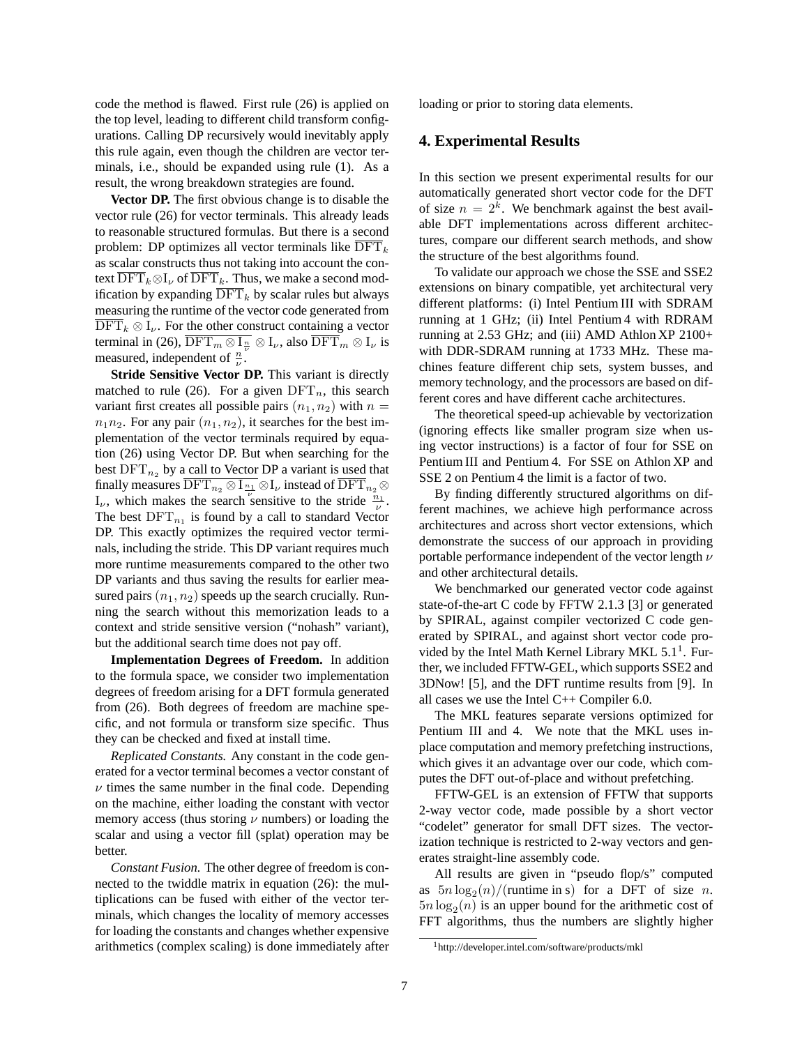code the method is flawed. First rule (26) is applied on the top level, leading to different child transform configurations. Calling DP recursively would inevitably apply this rule again, even though the children are vector terminals, i.e., should be expanded using rule (1). As a result, the wrong breakdown strategies are found.

**Vector DP.** The first obvious change is to disable the vector rule (26) for vector terminals. This already leads to reasonable structured formulas. But there is a second problem: DP optimizes all vector terminals like  $\overline{\text{DFT}}_k$ as scalar constructs thus not taking into account the context  $\overline{\text{DFT}}_k \otimes I_\nu$  of  $\overline{\text{DFT}}_k$ . Thus, we make a second modification by expanding  $\overline{\text{DFT}}_k$  by scalar rules but always measuring the runtime of the vector code generated from  $\text{DFT}_k \otimes I_{\nu}$ . For the other construct containing a vector terminal in (26),  $\text{DFT}_m \otimes I_{\frac{n}{\nu}} \otimes I_{\nu}$ , also  $\text{DFT}_m \otimes I_{\nu}$  is measured, independent of  $\frac{n}{\nu}$ .

**Stride Sensitive Vector DP.** This variant is directly matched to rule (26). For a given  $\text{DFT}_n$ , this search variant first creates all possible pairs  $(n_1, n_2)$  with  $n =$  $n_1n_2$ . For any pair  $(n_1, n_2)$ , it searches for the best implementation of the vector terminals required by equation (26) using Vector DP. But when searching for the best  $\text{DFT}_{n_2}$  by a call to Vector DP a variant is used that finally measures  $\text{DFT}_{n_2} \otimes I_{\frac{n_1}{\nu}} \otimes I_{\nu}$  instead of  $\text{DFT}_{n_2} \otimes I_{\nu}$  $I_{\nu}$ , which makes the search sensitive to the stride  $\frac{n_1}{\nu}$ . The best  $\text{DFT}_{n_1}$  is found by a call to standard Vector DP. This exactly optimizes the required vector terminals, including the stride. This DP variant requires much more runtime measurements compared to the other two DP variants and thus saving the results for earlier measured pairs  $(n_1, n_2)$  speeds up the search crucially. Running the search without this memorization leads to a context and stride sensitive version ("nohash" variant), but the additional search time does not pay off.

**Implementation Degrees of Freedom.** In addition to the formula space, we consider two implementation degrees of freedom arising for a DFT formula generated from (26). Both degrees of freedom are machine specific, and not formula or transform size specific. Thus they can be checked and fixed at install time.

*Replicated Constants.* Any constant in the code generated for a vector terminal becomes a vector constant of  $\nu$  times the same number in the final code. Depending on the machine, either loading the constant with vector memory access (thus storing  $\nu$  numbers) or loading the scalar and using a vector fill (splat) operation may be better.

*Constant Fusion.* The other degree of freedom is connected to the twiddle matrix in equation (26): the multiplications can be fused with either of the vector terminals, which changes the locality of memory accesses for loading the constants and changes whether expensive arithmetics (complex scaling) is done immediately after loading or prior to storing data elements.

# **4. Experimental Results**

In this section we present experimental results for our automatically generated short vector code for the DFT of size  $n = 2<sup>k</sup>$ . We benchmark against the best available DFT implementations across different architectures, compare our different search methods, and show the structure of the best algorithms found.

To validate our approach we chose the SSE and SSE2 extensions on binary compatible, yet architectural very different platforms: (i) Intel Pentium III with SDRAM running at 1 GHz; (ii) Intel Pentium 4 with RDRAM running at 2.53 GHz; and (iii) AMD Athlon XP 2100+ with DDR-SDRAM running at 1733 MHz. These machines feature different chip sets, system busses, and memory technology, and the processors are based on different cores and have different cache architectures.

The theoretical speed-up achievable by vectorization (ignoring effects like smaller program size when using vector instructions) is a factor of four for SSE on Pentium III and Pentium 4. For SSE on Athlon XP and SSE 2 on Pentium 4 the limit is a factor of two.

By finding differently structured algorithms on different machines, we achieve high performance across architectures and across short vector extensions, which demonstrate the success of our approach in providing portable performance independent of the vector length  $\nu$ and other architectural details.

We benchmarked our generated vector code against state-of-the-art C code by FFTW 2.1.3 [3] or generated by SPIRAL, against compiler vectorized C code generated by SPIRAL, and against short vector code provided by the Intel Math Kernel Library MKL 5.1<sup>1</sup>. Further, we included FFTW-GEL, which supports SSE2 and 3DNow! [5], and the DFT runtime results from [9]. In all cases we use the Intel C++ Compiler 6.0.

The MKL features separate versions optimized for Pentium III and 4. We note that the MKL uses inplace computation and memory prefetching instructions, which gives it an advantage over our code, which computes the DFT out-of-place and without prefetching.

FFTW-GEL is an extension of FFTW that supports 2-way vector code, made possible by a short vector "codelet" generator for small DFT sizes. The vectorization technique is restricted to 2-way vectors and generates straight-line assembly code.

All results are given in "pseudo flop/s" computed as  $5n \log_2(n) / ($ runtime in s) for a DFT of size n.  $5n \log_2(n)$  is an upper bound for the arithmetic cost of FFT algorithms, thus the numbers are slightly higher

<sup>1</sup>http://developer.intel.com/software/products/mkl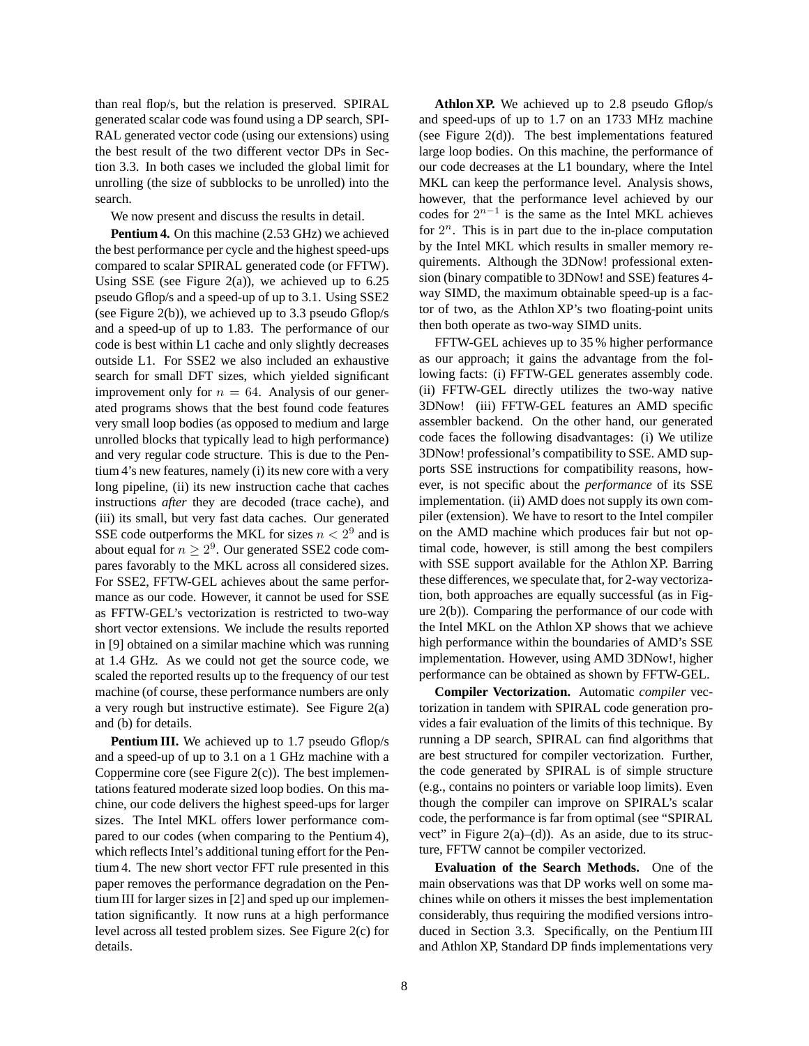than real flop/s, but the relation is preserved. SPIRAL generated scalar code was found using a DP search, SPI-RAL generated vector code (using our extensions) using the best result of the two different vector DPs in Section 3.3. In both cases we included the global limit for unrolling (the size of subblocks to be unrolled) into the search.

We now present and discuss the results in detail.

**Pentium 4.** On this machine (2.53 GHz) we achieved the best performance per cycle and the highest speed-ups compared to scalar SPIRAL generated code (or FFTW). Using SSE (see Figure 2(a)), we achieved up to  $6.25$ pseudo Gflop/s and a speed-up of up to 3.1. Using SSE2 (see Figure 2(b)), we achieved up to 3.3 pseudo Gflop/s and a speed-up of up to 1.83. The performance of our code is best within L1 cache and only slightly decreases outside L1. For SSE2 we also included an exhaustive search for small DFT sizes, which yielded significant improvement only for  $n = 64$ . Analysis of our generated programs shows that the best found code features very small loop bodies (as opposed to medium and large unrolled blocks that typically lead to high performance) and very regular code structure. This is due to the Pentium 4's new features, namely (i) its new core with a very long pipeline, (ii) its new instruction cache that caches instructions *after* they are decoded (trace cache), and (iii) its small, but very fast data caches. Our generated SSE code outperforms the MKL for sizes  $n < 2^9$  and is about equal for  $n \geq 2^9$ . Our generated SSE2 code compares favorably to the MKL across all considered sizes. For SSE2, FFTW-GEL achieves about the same performance as our code. However, it cannot be used for SSE as FFTW-GEL's vectorization is restricted to two-way short vector extensions. We include the results reported in [9] obtained on a similar machine which was running at 1.4 GHz. As we could not get the source code, we scaled the reported results up to the frequency of our test machine (of course, these performance numbers are only a very rough but instructive estimate). See Figure 2(a) and (b) for details.

**Pentium III.** We achieved up to 1.7 pseudo Gflop/s and a speed-up of up to 3.1 on a 1 GHz machine with a Coppermine core (see Figure  $2(c)$ ). The best implementations featured moderate sized loop bodies. On this machine, our code delivers the highest speed-ups for larger sizes. The Intel MKL offers lower performance compared to our codes (when comparing to the Pentium 4), which reflects Intel's additional tuning effort for the Pentium 4. The new short vector FFT rule presented in this paper removes the performance degradation on the Pentium III for larger sizes in [2] and sped up our implementation significantly. It now runs at a high performance level across all tested problem sizes. See Figure 2(c) for details.

**Athlon XP.** We achieved up to 2.8 pseudo Gflop/s and speed-ups of up to 1.7 on an 1733 MHz machine (see Figure 2(d)). The best implementations featured large loop bodies. On this machine, the performance of our code decreases at the L1 boundary, where the Intel MKL can keep the performance level. Analysis shows, however, that the performance level achieved by our codes for  $2^{n-1}$  is the same as the Intel MKL achieves for  $2^n$ . This is in part due to the in-place computation by the Intel MKL which results in smaller memory requirements. Although the 3DNow! professional extension (binary compatible to 3DNow! and SSE) features 4 way SIMD, the maximum obtainable speed-up is a factor of two, as the Athlon XP's two floating-point units then both operate as two-way SIMD units.

FFTW-GEL achieves up to 35 % higher performance as our approach; it gains the advantage from the following facts: (i) FFTW-GEL generates assembly code. (ii) FFTW-GEL directly utilizes the two-way native 3DNow! (iii) FFTW-GEL features an AMD specific assembler backend. On the other hand, our generated code faces the following disadvantages: (i) We utilize 3DNow! professional's compatibility to SSE. AMD supports SSE instructions for compatibility reasons, however, is not specific about the *performance* of its SSE implementation. (ii) AMD does not supply its own compiler (extension). We have to resort to the Intel compiler on the AMD machine which produces fair but not optimal code, however, is still among the best compilers with SSE support available for the Athlon XP. Barring these differences, we speculate that, for 2-way vectorization, both approaches are equally successful (as in Figure 2(b)). Comparing the performance of our code with the Intel MKL on the Athlon XP shows that we achieve high performance within the boundaries of AMD's SSE implementation. However, using AMD 3DNow!, higher performance can be obtained as shown by FFTW-GEL.

**Compiler Vectorization.** Automatic *compiler* vectorization in tandem with SPIRAL code generation provides a fair evaluation of the limits of this technique. By running a DP search, SPIRAL can find algorithms that are best structured for compiler vectorization. Further, the code generated by SPIRAL is of simple structure (e.g., contains no pointers or variable loop limits). Even though the compiler can improve on SPIRAL's scalar code, the performance is far from optimal (see "SPIRAL vect" in Figure  $2(a)$ –(d)). As an aside, due to its structure, FFTW cannot be compiler vectorized.

**Evaluation of the Search Methods.** One of the main observations was that DP works well on some machines while on others it misses the best implementation considerably, thus requiring the modified versions introduced in Section 3.3. Specifically, on the Pentium III and Athlon XP, Standard DP finds implementations very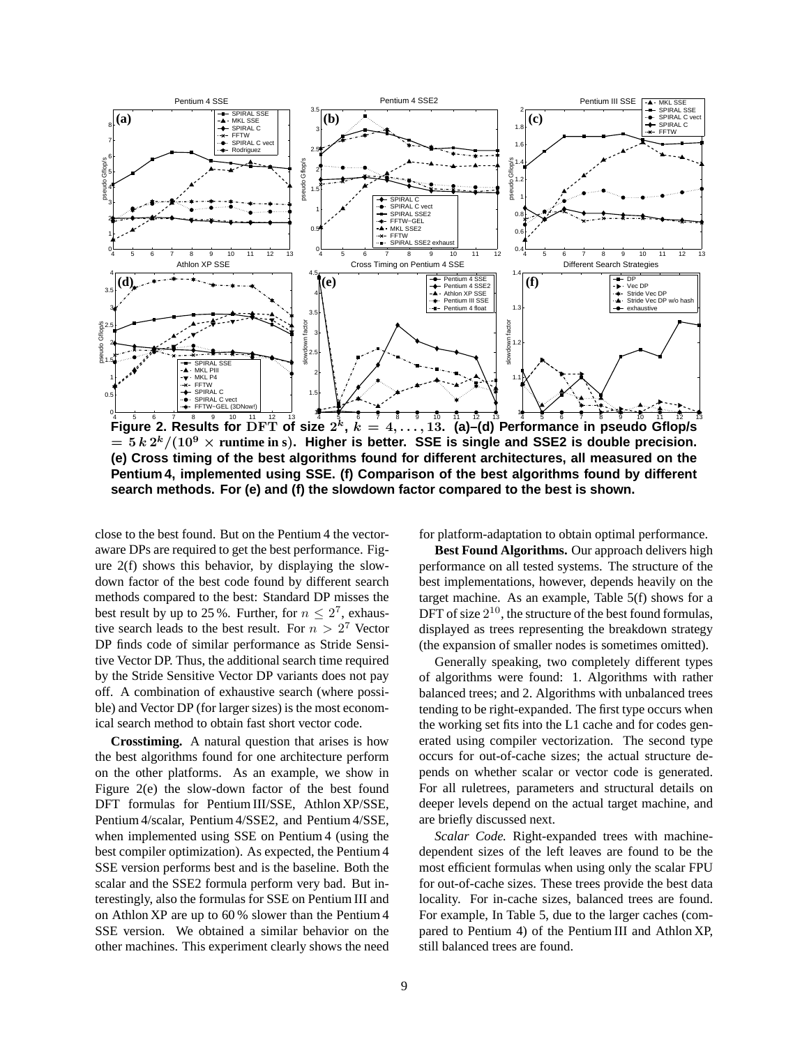

Figure 2. Results for  $\prod^{10}_{11}\prod^{12}_{12}\prod^{13}_{13}$  size  $2^k,~k=4,\ldots,13.$  (a)–(d) Performance in pseudo Gflop/s  $=$   $5 k 2^{k}/(10^{9} \times \text{runtime in s})$ . Higher is better. SSE is single and SSE2 is double precision. **(e) Cross timing of the best algorithms found for different architectures, all measured on the Pentium 4, implemented using SSE. (f) Comparison of the best algorithms found by different search methods. For (e) and (f) the slowdown factor compared to the best is shown.**

close to the best found. But on the Pentium 4 the vectoraware DPs are required to get the best performance. Figure 2(f) shows this behavior, by displaying the slowdown factor of the best code found by different search methods compared to the best: Standard DP misses the best result by up to 25 %. Further, for  $n \leq 2^7$ , exhaustive search leads to the best result. For  $n > 2^7$  Vector DP finds code of similar performance as Stride Sensitive Vector DP. Thus, the additional search time required by the Stride Sensitive Vector DP variants does not pay off. A combination of exhaustive search (where possible) and Vector DP (for larger sizes) is the most economical search method to obtain fast short vector code.

**Crosstiming.** A natural question that arises is how the best algorithms found for one architecture perform on the other platforms. As an example, we show in Figure 2(e) the slow-down factor of the best found DFT formulas for Pentium III/SSE, Athlon XP/SSE, Pentium 4/scalar, Pentium 4/SSE2, and Pentium 4/SSE, when implemented using SSE on Pentium 4 (using the best compiler optimization). As expected, the Pentium 4 SSE version performs best and is the baseline. Both the scalar and the SSE2 formula perform very bad. But interestingly, also the formulas for SSE on Pentium III and on Athlon XP are up to 60 % slower than the Pentium 4 SSE version. We obtained a similar behavior on the other machines. This experiment clearly shows the need for platform-adaptation to obtain optimal performance.

**Best Found Algorithms.** Our approach delivers high performance on all tested systems. The structure of the best implementations, however, depends heavily on the target machine. As an example, Table 5(f) shows for a DFT of size  $2^{10}$ , the structure of the best found formulas, displayed as trees representing the breakdown strategy (the expansion of smaller nodes is sometimes omitted).

Generally speaking, two completely different types of algorithms were found: 1. Algorithms with rather balanced trees; and 2. Algorithms with unbalanced trees tending to be right-expanded. The first type occurs when the working set fits into the L1 cache and for codes generated using compiler vectorization. The second type occurs for out-of-cache sizes; the actual structure depends on whether scalar or vector code is generated. For all ruletrees, parameters and structural details on deeper levels depend on the actual target machine, and are briefly discussed next.

*Scalar Code.* Right-expanded trees with machinedependent sizes of the left leaves are found to be the most efficient formulas when using only the scalar FPU for out-of-cache sizes. These trees provide the best data locality. For in-cache sizes, balanced trees are found. For example, In Table 5, due to the larger caches (compared to Pentium 4) of the Pentium III and Athlon XP, still balanced trees are found.